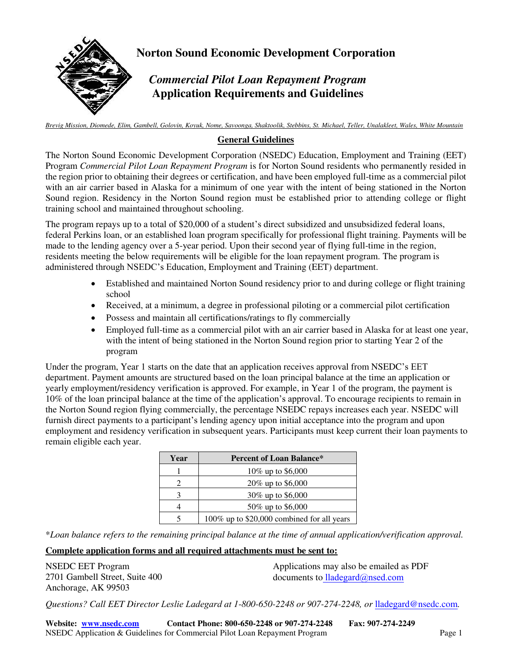

**Norton Sound Economic Development Corporation** 

## *Commercial Pilot Loan Repayment Program*  **Application Requirements and Guidelines**

*Brevig Mission, Diomede, Elim, Gambell, Golovin, Koyuk, Nome, Savoonga, Shaktoolik, Stebbins, St. Michael, Teller, Unalakleet, Wales, White Mountain*

#### **General Guidelines**

The Norton Sound Economic Development Corporation (NSEDC) Education, Employment and Training (EET) Program *Commercial Pilot Loan Repayment Program* is for Norton Sound residents who permanently resided in the region prior to obtaining their degrees or certification, and have been employed full-time as a commercial pilot with an air carrier based in Alaska for a minimum of one year with the intent of being stationed in the Norton Sound region. Residency in the Norton Sound region must be established prior to attending college or flight training school and maintained throughout schooling.

The program repays up to a total of \$20,000 of a student's direct subsidized and unsubsidized federal loans, federal Perkins loan, or an established loan program specifically for professional flight training. Payments will be made to the lending agency over a 5-year period. Upon their second year of flying full-time in the region, residents meeting the below requirements will be eligible for the loan repayment program. The program is administered through NSEDC's Education, Employment and Training (EET) department.

- Established and maintained Norton Sound residency prior to and during college or flight training school
- Received, at a minimum, a degree in professional piloting or a commercial pilot certification
- Possess and maintain all certifications/ratings to fly commercially
- Employed full-time as a commercial pilot with an air carrier based in Alaska for at least one year, with the intent of being stationed in the Norton Sound region prior to starting Year 2 of the program

Under the program, Year 1 starts on the date that an application receives approval from NSEDC's EET department. Payment amounts are structured based on the loan principal balance at the time an application or yearly employment/residency verification is approved. For example, in Year 1 of the program, the payment is 10% of the loan principal balance at the time of the application's approval. To encourage recipients to remain in the Norton Sound region flying commercially, the percentage NSEDC repays increases each year. NSEDC will furnish direct payments to a participant's lending agency upon initial acceptance into the program and upon employment and residency verification in subsequent years. Participants must keep current their loan payments to remain eligible each year.

| Year | <b>Percent of Loan Balance*</b>            |
|------|--------------------------------------------|
|      | 10\% up to \$6,000                         |
|      | 20% up to \$6,000                          |
|      | 30% up to \$6,000                          |
|      | 50% up to \$6,000                          |
|      | 100% up to \$20,000 combined for all years |

\**Loan balance refers to the remaining principal balance at the time of annual application/verification approval.*

#### **Complete application forms and all required attachments must be sent to:**

NSEDC EET Program 2701 Gambell Street, Suite 400 Anchorage, AK 99503

Applications may also be emailed as PDF documents to lladegard@nsed.com

*Questions? Call EET Director Leslie Ladegard at 1-800-650-2248 or 907-274-2248, or* lladegard@nsedc.com*.*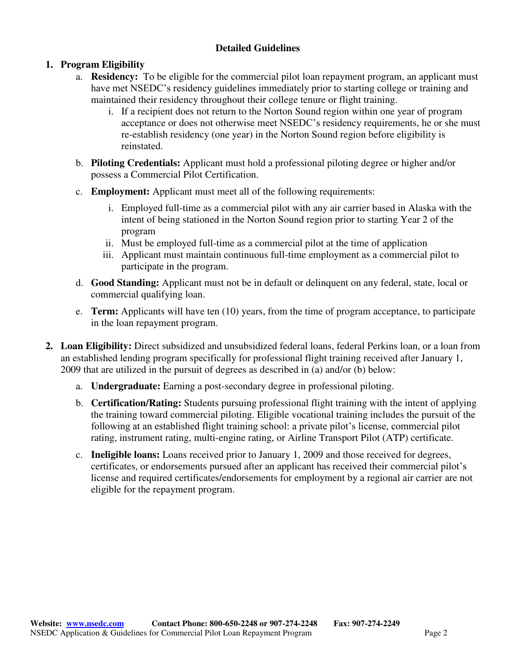#### **Detailed Guidelines**

### **1. Program Eligibility**

- a. **Residency:** To be eligible for the commercial pilot loan repayment program, an applicant must have met NSEDC's residency guidelines immediately prior to starting college or training and maintained their residency throughout their college tenure or flight training.
	- i. If a recipient does not return to the Norton Sound region within one year of program acceptance or does not otherwise meet NSEDC's residency requirements, he or she must re-establish residency (one year) in the Norton Sound region before eligibility is reinstated.
- b. **Piloting Credentials:** Applicant must hold a professional piloting degree or higher and/or possess a Commercial Pilot Certification.
- c. **Employment:** Applicant must meet all of the following requirements:
	- i. Employed full-time as a commercial pilot with any air carrier based in Alaska with the intent of being stationed in the Norton Sound region prior to starting Year 2 of the program
	- ii. Must be employed full-time as a commercial pilot at the time of application
	- iii. Applicant must maintain continuous full-time employment as a commercial pilot to participate in the program.
- d. **Good Standing:** Applicant must not be in default or delinquent on any federal, state, local or commercial qualifying loan.
- e. **Term:** Applicants will have ten (10) years, from the time of program acceptance, to participate in the loan repayment program.
- **2. Loan Eligibility:** Direct subsidized and unsubsidized federal loans, federal Perkins loan, or a loan from an established lending program specifically for professional flight training received after January 1, 2009 that are utilized in the pursuit of degrees as described in (a) and/or (b) below:
	- a. **Undergraduate:** Earning a post-secondary degree in professional piloting.
	- b. **Certification/Rating:** Students pursuing professional flight training with the intent of applying the training toward commercial piloting. Eligible vocational training includes the pursuit of the following at an established flight training school: a private pilot's license, commercial pilot rating, instrument rating, multi-engine rating, or Airline Transport Pilot (ATP) certificate.
	- c. **Ineligible loans:** Loans received prior to January 1, 2009 and those received for degrees, certificates, or endorsements pursued after an applicant has received their commercial pilot's license and required certificates/endorsements for employment by a regional air carrier are not eligible for the repayment program.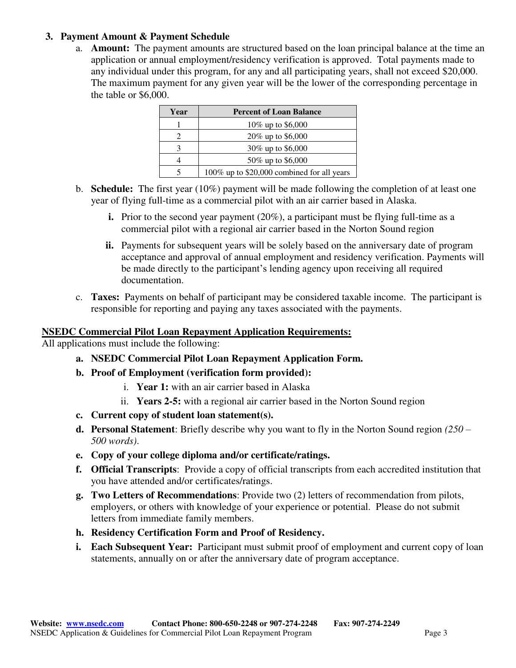#### **3. Payment Amount & Payment Schedule**

a. **Amount:** The payment amounts are structured based on the loan principal balance at the time an application or annual employment/residency verification is approved. Total payments made to any individual under this program, for any and all participating years, shall not exceed \$20,000. The maximum payment for any given year will be the lower of the corresponding percentage in the table or \$6,000.

| Year | <b>Percent of Loan Balance</b>             |
|------|--------------------------------------------|
|      | 10% up to \$6,000                          |
|      | 20% up to \$6,000                          |
|      | 30\% up to \$6,000                         |
|      | 50\% up to \$6,000                         |
|      | 100% up to \$20,000 combined for all years |

- b. **Schedule:** The first year (10%) payment will be made following the completion of at least one year of flying full-time as a commercial pilot with an air carrier based in Alaska.
	- **i.** Prior to the second year payment (20%), a participant must be flying full-time as a commercial pilot with a regional air carrier based in the Norton Sound region
	- **ii.** Payments for subsequent years will be solely based on the anniversary date of program acceptance and approval of annual employment and residency verification. Payments will be made directly to the participant's lending agency upon receiving all required documentation.
- c. **Taxes:** Payments on behalf of participant may be considered taxable income. The participant is responsible for reporting and paying any taxes associated with the payments.

#### **NSEDC Commercial Pilot Loan Repayment Application Requirements:**

All applications must include the following:

- **a. NSEDC Commercial Pilot Loan Repayment Application Form.**
- **b. Proof of Employment (verification form provided):**
	- i. **Year 1:** with an air carrier based in Alaska
	- ii. **Years 2-5:** with a regional air carrier based in the Norton Sound region
- **c. Current copy of student loan statement(s).**
- **d. Personal Statement**: Briefly describe why you want to fly in the Norton Sound region *(250 – 500 words)*.
- **e. Copy of your college diploma and/or certificate/ratings.**
- **f. Official Transcripts**: Provide a copy of official transcripts from each accredited institution that you have attended and/or certificates/ratings.
- **g. Two Letters of Recommendations**: Provide two (2) letters of recommendation from pilots, employers, or others with knowledge of your experience or potential. Please do not submit letters from immediate family members.
- **h. Residency Certification Form and Proof of Residency.**
- **i. Each Subsequent Year:** Participant must submit proof of employment and current copy of loan statements, annually on or after the anniversary date of program acceptance.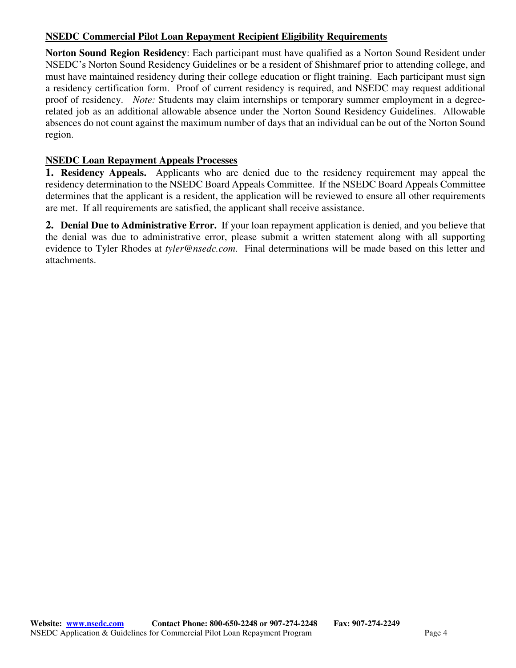#### **NSEDC Commercial Pilot Loan Repayment Recipient Eligibility Requirements**

**Norton Sound Region Residency**: Each participant must have qualified as a Norton Sound Resident under NSEDC's Norton Sound Residency Guidelines or be a resident of Shishmaref prior to attending college, and must have maintained residency during their college education or flight training. Each participant must sign a residency certification form. Proof of current residency is required, and NSEDC may request additional proof of residency. *Note:* Students may claim internships or temporary summer employment in a degreerelated job as an additional allowable absence under the Norton Sound Residency Guidelines. Allowable absences do not count against the maximum number of days that an individual can be out of the Norton Sound region.

#### **NSEDC Loan Repayment Appeals Processes**

**1. Residency Appeals.** Applicants who are denied due to the residency requirement may appeal the residency determination to the NSEDC Board Appeals Committee. If the NSEDC Board Appeals Committee determines that the applicant is a resident, the application will be reviewed to ensure all other requirements are met. If all requirements are satisfied, the applicant shall receive assistance.

**2. Denial Due to Administrative Error.** If your loan repayment application is denied, and you believe that the denial was due to administrative error, please submit a written statement along with all supporting evidence to Tyler Rhodes at *tyler@nsedc.com*. Final determinations will be made based on this letter and attachments.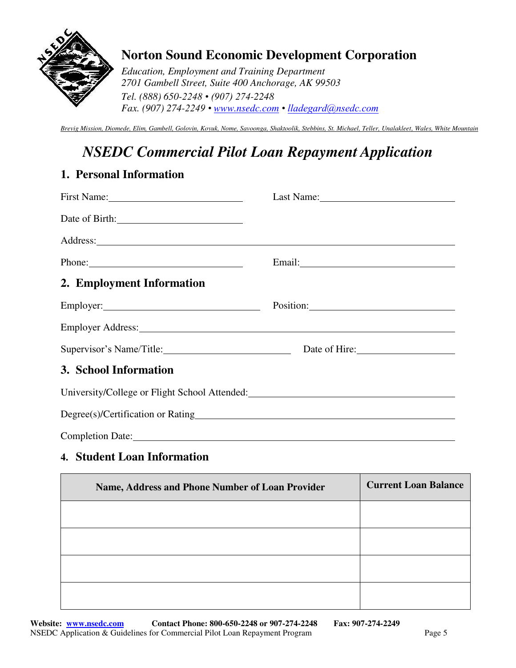

## **Norton Sound Economic Development Corporation**

*Education, Employment and Training Department 2701 Gambell Street, Suite 400 Anchorage, AK 99503 Tel. (888) 650-2248 • (907) 274-2248 Fax. (907) 274-2249 • [www.nsedc.com](http://www.nsedc.com/) • lladegard@nsedc.com*

*Brevig Mission, Diomede, Elim, Gambell, Golovin, Koyuk, Nome, Savoonga, Shaktoolik, Stebbins, St. Michael, Teller, Unalakleet, Wales, White Mountain* 

# *NSEDC Commercial Pilot Loan Repayment Application*

### **1. Personal Information**

|                                                                                                                                                                                                                                        | Last Name: 1988                                                                                                                                                                                                                |
|----------------------------------------------------------------------------------------------------------------------------------------------------------------------------------------------------------------------------------------|--------------------------------------------------------------------------------------------------------------------------------------------------------------------------------------------------------------------------------|
| Date of Birth:                                                                                                                                                                                                                         |                                                                                                                                                                                                                                |
|                                                                                                                                                                                                                                        |                                                                                                                                                                                                                                |
| Phone:                                                                                                                                                                                                                                 | Email: North Communication of the Communication of the Communication of the Communication of the Communication of the Communication of the Communication of the Communication of the Communication of the Communication of the |
| 2. Employment Information                                                                                                                                                                                                              |                                                                                                                                                                                                                                |
|                                                                                                                                                                                                                                        | Position:                                                                                                                                                                                                                      |
|                                                                                                                                                                                                                                        |                                                                                                                                                                                                                                |
| Supervisor's Name/Title: Date of Hire: Date of Hire:                                                                                                                                                                                   |                                                                                                                                                                                                                                |
| 3. School Information                                                                                                                                                                                                                  |                                                                                                                                                                                                                                |
| University/College or Flight School Attended:<br><u>Letter and the set of the set of the set of the set of the set of the set of the set of the set of the set of the set of the set of the set of the set of the set of the set o</u> |                                                                                                                                                                                                                                |
|                                                                                                                                                                                                                                        |                                                                                                                                                                                                                                |
| Completion Date: 2000 and 2000 and 2000 and 2000 and 2000 and 2000 and 2000 and 2000 and 2000 and 2000 and 200                                                                                                                         |                                                                                                                                                                                                                                |

### **4. Student Loan Information**

| Name, Address and Phone Number of Loan Provider | <b>Current Loan Balance</b> |
|-------------------------------------------------|-----------------------------|
|                                                 |                             |
|                                                 |                             |
|                                                 |                             |
|                                                 |                             |